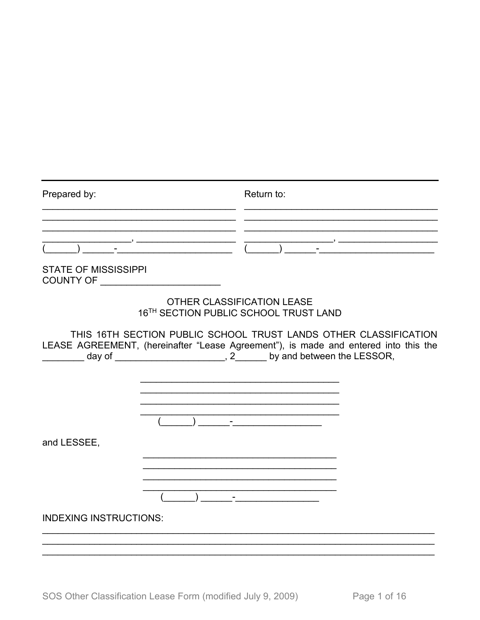| Prepared by:                                                                                                                                                                                                                   |                                                   |                                                                                                                                                                                                                                                                                                                                                                                                                      | Return to:                 |  |  |
|--------------------------------------------------------------------------------------------------------------------------------------------------------------------------------------------------------------------------------|---------------------------------------------------|----------------------------------------------------------------------------------------------------------------------------------------------------------------------------------------------------------------------------------------------------------------------------------------------------------------------------------------------------------------------------------------------------------------------|----------------------------|--|--|
|                                                                                                                                                                                                                                |                                                   |                                                                                                                                                                                                                                                                                                                                                                                                                      |                            |  |  |
|                                                                                                                                                                                                                                |                                                   | $\frac{1}{\sqrt{1-\frac{1}{2}}\sqrt{1-\frac{1}{2}}\sqrt{1-\frac{1}{2}}\sqrt{1-\frac{1}{2}}\sqrt{1-\frac{1}{2}}\sqrt{1-\frac{1}{2}}\sqrt{1-\frac{1}{2}}\sqrt{1-\frac{1}{2}}\sqrt{1-\frac{1}{2}}\sqrt{1-\frac{1}{2}}\sqrt{1-\frac{1}{2}}\sqrt{1-\frac{1}{2}}\sqrt{1-\frac{1}{2}}\sqrt{1-\frac{1}{2}}\sqrt{1-\frac{1}{2}}\sqrt{1-\frac{1}{2}}\sqrt{1-\frac{1}{2}}\sqrt{1-\frac{1}{2}}\sqrt{1-\frac{1}{2}}\sqrt{1-\frac$ |                            |  |  |
| <b>STATE OF MISSISSIPPI</b><br>COUNTY OF _________________________                                                                                                                                                             |                                                   |                                                                                                                                                                                                                                                                                                                                                                                                                      |                            |  |  |
|                                                                                                                                                                                                                                | 16 <sup>TH</sup> SECTION PUBLIC SCHOOL TRUST LAND |                                                                                                                                                                                                                                                                                                                                                                                                                      | OTHER CLASSIFICATION LEASE |  |  |
| THIS 16TH SECTION PUBLIC SCHOOL TRUST LANDS OTHER CLASSIFICATION<br>LEASE AGREEMENT, (hereinafter "Lease Agreement"), is made and entered into this the<br>day of _______________________, 2_______ by and between the LESSOR, |                                                   |                                                                                                                                                                                                                                                                                                                                                                                                                      |                            |  |  |
|                                                                                                                                                                                                                                |                                                   |                                                                                                                                                                                                                                                                                                                                                                                                                      |                            |  |  |
|                                                                                                                                                                                                                                |                                                   |                                                                                                                                                                                                                                                                                                                                                                                                                      |                            |  |  |
|                                                                                                                                                                                                                                |                                                   |                                                                                                                                                                                                                                                                                                                                                                                                                      |                            |  |  |
|                                                                                                                                                                                                                                |                                                   |                                                                                                                                                                                                                                                                                                                                                                                                                      |                            |  |  |
|                                                                                                                                                                                                                                |                                                   |                                                                                                                                                                                                                                                                                                                                                                                                                      |                            |  |  |
| and LESSEE,                                                                                                                                                                                                                    |                                                   |                                                                                                                                                                                                                                                                                                                                                                                                                      |                            |  |  |
|                                                                                                                                                                                                                                |                                                   |                                                                                                                                                                                                                                                                                                                                                                                                                      |                            |  |  |
|                                                                                                                                                                                                                                |                                                   |                                                                                                                                                                                                                                                                                                                                                                                                                      |                            |  |  |
|                                                                                                                                                                                                                                |                                                   |                                                                                                                                                                                                                                                                                                                                                                                                                      |                            |  |  |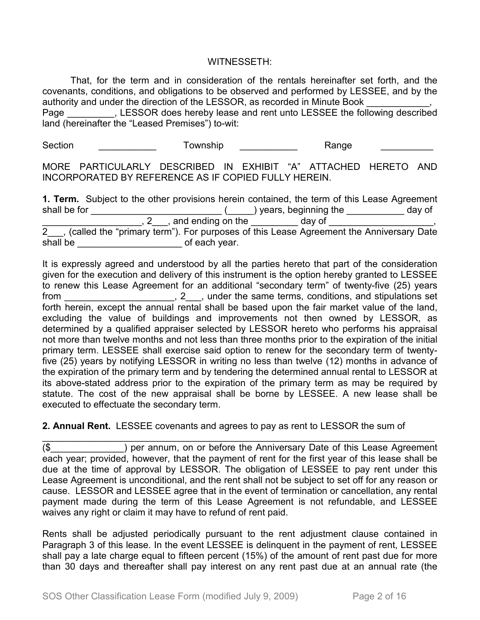#### WITNESSETH:

That, for the term and in consideration of the rentals hereinafter set forth, and the covenants, conditions, and obligations to be observed and performed by LESSEE, and by the authority and under the direction of the LESSOR, as recorded in Minute Book  $\qquad \qquad ,$ 

Page Tage Ressor Refereby lease and rent unto LESSEE the following described land (hereinafter the "Leased Premises") to-wit:

Section \_\_\_\_\_\_\_\_\_\_\_\_\_ Township \_\_\_\_\_\_\_\_\_\_\_ Range \_\_\_\_\_\_\_\_\_\_\_

MORE PARTICULARLY DESCRIBED IN EXHIBIT "A" ATTACHED HERETO AND INCORPORATED BY REFERENCE AS IF COPIED FULLY HEREIN.

**1. Term.** Subject to the other provisions herein contained, the term of this Lease Agreement shall be for \_\_\_\_\_\_\_\_\_\_\_\_\_\_\_\_\_\_\_\_\_\_\_\_\_\_\_\_(\_\_\_\_\_) years, beginning the \_\_\_\_\_\_\_\_\_\_\_\_ day of \_\_\_\_\_\_\_\_\_\_\_\_\_\_\_\_\_\_\_, 2\_\_\_, and ending on the \_\_\_\_\_\_\_\_\_ day of \_\_\_\_\_\_\_\_\_\_\_\_\_\_\_\_\_, 2\_\_\_, (called the "primary term"). For purposes of this Lease Agreement the Anniversary Date shall be \_\_\_\_\_\_\_\_\_\_\_\_\_\_\_\_\_\_\_\_\_\_\_\_\_\_\_\_\_\_\_\_of each year.

It is expressly agreed and understood by all the parties hereto that part of the consideration given for the execution and delivery of this instrument is the option hereby granted to LESSEE to renew this Lease Agreement for an additional "secondary term" of twenty-five (25) years from \_\_\_\_\_\_\_\_\_\_\_\_\_\_\_\_\_\_\_\_\_, 2\_\_\_, under the same terms, conditions, and stipulations set forth herein, except the annual rental shall be based upon the fair market value of the land, excluding the value of buildings and improvements not then owned by LESSOR, as determined by a qualified appraiser selected by LESSOR hereto who performs his appraisal not more than twelve months and not less than three months prior to the expiration of the initial primary term. LESSEE shall exercise said option to renew for the secondary term of twentyfive (25) years by notifying LESSOR in writing no less than twelve (12) months in advance of the expiration of the primary term and by tendering the determined annual rental to LESSOR at its above-stated address prior to the expiration of the primary term as may be required by statute. The cost of the new appraisal shall be borne by LESSEE. A new lease shall be executed to effectuate the secondary term.

## **2. Annual Rent.** LESSEE covenants and agrees to pay as rent to LESSOR the sum of

\_\_\_\_\_\_\_\_\_\_\_\_\_\_\_\_\_\_\_\_\_\_\_\_\_\_\_\_\_\_\_\_\_\_\_\_\_\_\_\_\_\_\_\_\_\_\_\_\_\_\_\_\_\_\_\_\_\_\_\_\_\_\_\_\_\_\_\_\_\_\_\_\_\_\_ (\$\_\_\_\_\_\_\_\_\_\_\_\_\_\_) per annum, on or before the Anniversary Date of this Lease Agreement each year; provided, however, that the payment of rent for the first year of this lease shall be due at the time of approval by LESSOR. The obligation of LESSEE to pay rent under this Lease Agreement is unconditional, and the rent shall not be subject to set off for any reason or cause. LESSOR and LESSEE agree that in the event of termination or cancellation, any rental payment made during the term of this Lease Agreement is not refundable, and LESSEE waives any right or claim it may have to refund of rent paid.

Rents shall be adjusted periodically pursuant to the rent adjustment clause contained in Paragraph 3 of this lease. In the event LESSEE is delinquent in the payment of rent, LESSEE shall pay a late charge equal to fifteen percent (15%) of the amount of rent past due for more than 30 days and thereafter shall pay interest on any rent past due at an annual rate (the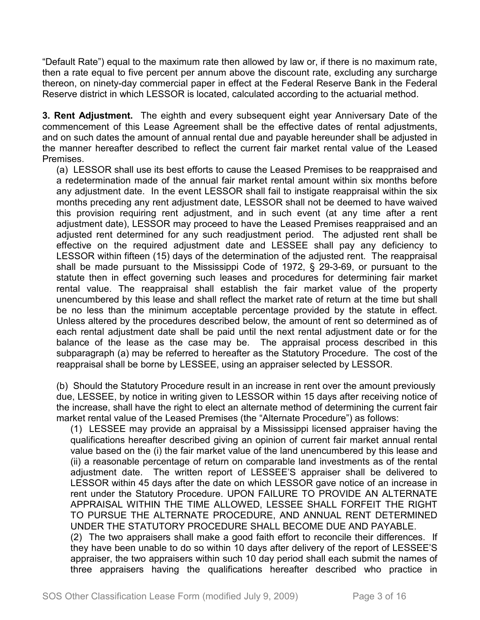"Default Rate") equal to the maximum rate then allowed by law or, if there is no maximum rate, then a rate equal to five percent per annum above the discount rate, excluding any surcharge thereon, on ninety-day commercial paper in effect at the Federal Reserve Bank in the Federal Reserve district in which LESSOR is located, calculated according to the actuarial method.

**3. Rent Adjustment.** The eighth and every subsequent eight year Anniversary Date of the commencement of this Lease Agreement shall be the effective dates of rental adjustments, and on such dates the amount of annual rental due and payable hereunder shall be adjusted in the manner hereafter described to reflect the current fair market rental value of the Leased Premises.

(a) LESSOR shall use its best efforts to cause the Leased Premises to be reappraised and a redetermination made of the annual fair market rental amount within six months before any adjustment date. In the event LESSOR shall fail to instigate reappraisal within the six months preceding any rent adjustment date, LESSOR shall not be deemed to have waived this provision requiring rent adjustment, and in such event (at any time after a rent adjustment date), LESSOR may proceed to have the Leased Premises reappraised and an adjusted rent determined for any such readjustment period. The adjusted rent shall be effective on the required adjustment date and LESSEE shall pay any deficiency to LESSOR within fifteen (15) days of the determination of the adjusted rent. The reappraisal shall be made pursuant to the Mississippi Code of 1972, § 29-3-69, or pursuant to the statute then in effect governing such leases and procedures for determining fair market rental value. The reappraisal shall establish the fair market value of the property unencumbered by this lease and shall reflect the market rate of return at the time but shall be no less than the minimum acceptable percentage provided by the statute in effect. Unless altered by the procedures described below, the amount of rent so determined as of each rental adjustment date shall be paid until the next rental adjustment date or for the balance of the lease as the case may be. The appraisal process described in this subparagraph (a) may be referred to hereafter as the Statutory Procedure. The cost of the reappraisal shall be borne by LESSEE, using an appraiser selected by LESSOR.

(b) Should the Statutory Procedure result in an increase in rent over the amount previously due, LESSEE, by notice in writing given to LESSOR within 15 days after receiving notice of the increase, shall have the right to elect an alternate method of determining the current fair market rental value of the Leased Premises (the "Alternate Procedure") as follows:

(1) LESSEE may provide an appraisal by a Mississippi licensed appraiser having the qualifications hereafter described giving an opinion of current fair market annual rental value based on the (i) the fair market value of the land unencumbered by this lease and (ii) a reasonable percentage of return on comparable land investments as of the rental adjustment date. The written report of LESSEE'S appraiser shall be delivered to LESSOR within 45 days after the date on which LESSOR gave notice of an increase in rent under the Statutory Procedure. UPON FAILURE TO PROVIDE AN ALTERNATE APPRAISAL WITHIN THE TIME ALLOWED, LESSEE SHALL FORFEIT THE RIGHT TO PURSUE THE ALTERNATE PROCEDURE, AND ANNUAL RENT DETERMINED UNDER THE STATUTORY PROCEDURE SHALL BECOME DUE AND PAYABLE. (2) The two appraisers shall make a good faith effort to reconcile their differences. If

they have been unable to do so within 10 days after delivery of the report of LESSEE'S appraiser, the two appraisers within such 10 day period shall each submit the names of three appraisers having the qualifications hereafter described who practice in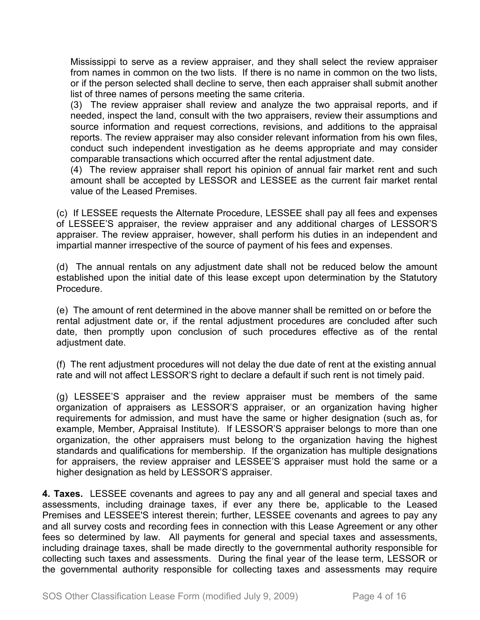Mississippi to serve as a review appraiser, and they shall select the review appraiser from names in common on the two lists. If there is no name in common on the two lists, or if the person selected shall decline to serve, then each appraiser shall submit another list of three names of persons meeting the same criteria.

(3) The review appraiser shall review and analyze the two appraisal reports, and if needed, inspect the land, consult with the two appraisers, review their assumptions and source information and request corrections, revisions, and additions to the appraisal reports. The review appraiser may also consider relevant information from his own files, conduct such independent investigation as he deems appropriate and may consider comparable transactions which occurred after the rental adjustment date.

(4) The review appraiser shall report his opinion of annual fair market rent and such amount shall be accepted by LESSOR and LESSEE as the current fair market rental value of the Leased Premises.

(c) If LESSEE requests the Alternate Procedure, LESSEE shall pay all fees and expenses of LESSEE'S appraiser, the review appraiser and any additional charges of LESSOR'S appraiser. The review appraiser, however, shall perform his duties in an independent and impartial manner irrespective of the source of payment of his fees and expenses.

(d) The annual rentals on any adjustment date shall not be reduced below the amount established upon the initial date of this lease except upon determination by the Statutory Procedure.

(e) The amount of rent determined in the above manner shall be remitted on or before the rental adjustment date or, if the rental adjustment procedures are concluded after such date, then promptly upon conclusion of such procedures effective as of the rental adjustment date.

(f) The rent adjustment procedures will not delay the due date of rent at the existing annual rate and will not affect LESSOR'S right to declare a default if such rent is not timely paid.

(g) LESSEE'S appraiser and the review appraiser must be members of the same organization of appraisers as LESSOR'S appraiser, or an organization having higher requirements for admission, and must have the same or higher designation (such as, for example, Member, Appraisal Institute). If LESSOR'S appraiser belongs to more than one organization, the other appraisers must belong to the organization having the highest standards and qualifications for membership. If the organization has multiple designations for appraisers, the review appraiser and LESSEE'S appraiser must hold the same or a higher designation as held by LESSOR'S appraiser.

**4. Taxes.** LESSEE covenants and agrees to pay any and all general and special taxes and assessments, including drainage taxes, if ever any there be, applicable to the Leased Premises and LESSEE'S interest therein; further, LESSEE covenants and agrees to pay any and all survey costs and recording fees in connection with this Lease Agreement or any other fees so determined by law. All payments for general and special taxes and assessments, including drainage taxes, shall be made directly to the governmental authority responsible for collecting such taxes and assessments. During the final year of the lease term, LESSOR or the governmental authority responsible for collecting taxes and assessments may require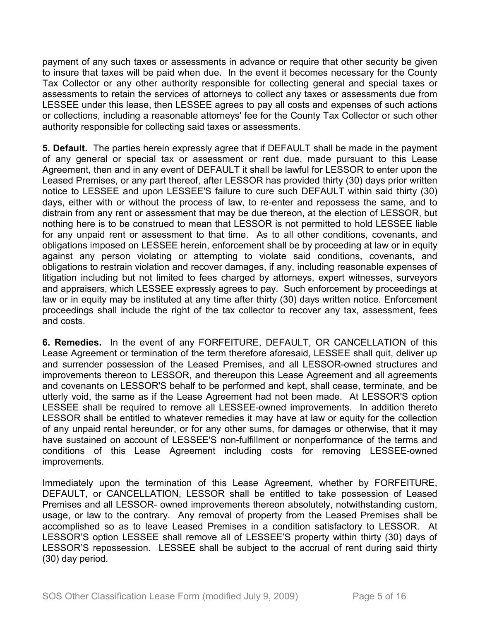payment of any such taxes or assessments in advance or require that other security be given to insure that taxes will be paid when due. In the event it becomes necessary for the County Tax Collector or any other authority responsible for collecting general and special taxes or assessments to retain the services of attorneys to collect any taxes or assessments due from LESSEE under this lease, then LESSEE agrees to pay all costs and expenses of such actions or collections, including a reasonable attorneys' fee for the County Tax Collector or such other authority responsible for collecting said taxes or assessments.

**5. Default.** The parties herein expressly agree that if DEFAULT shall be made in the payment of any general or special tax or assessment or rent due, made pursuant to this Lease Agreement, then and in any event of DEFAULT it shall be lawful for LESSOR to enter upon the Leased Premises, or any part thereof, after LESSOR has provided thirty (30) days prior written notice to LESSEE and upon LESSEE'S failure to cure such DEFAULT within said thirty (30) days, either with or without the process of law, to re-enter and repossess the same, and to distrain from any rent or assessment that may be due thereon, at the election of LESSOR, but nothing here is to be construed to mean that LESSOR is not permitted to hold LESSEE liable for any unpaid rent or assessment to that time. As to all other conditions, covenants, and obligations imposed on LESSEE herein, enforcement shall be by proceeding at law or in equity against any person violating or attempting to violate said conditions, covenants, and obligations to restrain violation and recover damages, if any, including reasonable expenses of litigation including but not limited to fees charged by attorneys, expert witnesses, surveyors and appraisers, which LESSEE expressly agrees to pay. Such enforcement by proceedings at law or in equity may be instituted at any time after thirty (30) days written notice. Enforcement proceedings shall include the right of the tax collector to recover any tax, assessment, fees and costs.

**6. Remedies.** In the event of any FORFEITURE, DEFAULT, OR CANCELLATION of this Lease Agreement or termination of the term therefore aforesaid, LESSEE shall quit, deliver up and surrender possession of the Leased Premises, and all LESSOR-owned structures and improvements thereon to LESSOR, and thereupon this Lease Agreement and all agreements and covenants on LESSOR'S behalf to be performed and kept, shall cease, terminate, and be utterly void, the same as if the Lease Agreement had not been made. At LESSOR'S option LESSEE shall be required to remove all LESSEE-owned improvements. In addition thereto LESSOR shall be entitled to whatever remedies it may have at law or equity for the collection of any unpaid rental hereunder, or for any other sums, for damages or otherwise, that it may have sustained on account of LESSEE'S non-fulfillment or nonperformance of the terms and conditions of this Lease Agreement including costs for removing LESSEE-owned improvements.

Immediately upon the termination of this Lease Agreement, whether by FORFEITURE, DEFAULT, or CANCELLATION, LESSOR shall be entitled to take possession of Leased Premises and all LESSOR- owned improvements thereon absolutely, notwithstanding custom, usage, or law to the contrary. Any removal of property from the Leased Premises shall be accomplished so as to leave Leased Premises in a condition satisfactory to LESSOR. At LESSOR'S option LESSEE shall remove all of LESSEE'S property within thirty (30) days of LESSOR'S repossession. LESSEE shall be subject to the accrual of rent during said thirty (30) day period.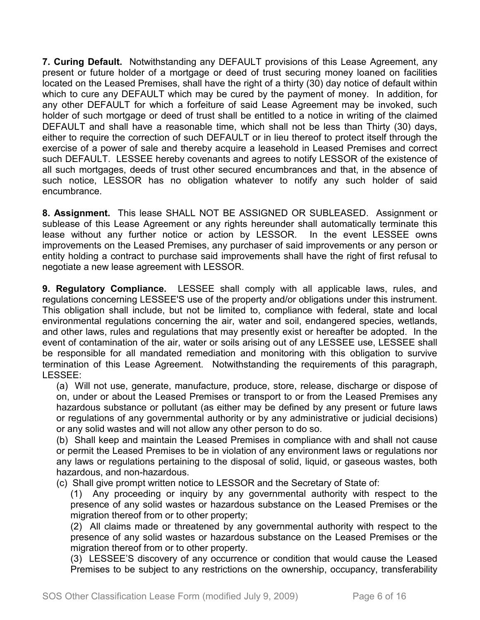**7. Curing Default.** Notwithstanding any DEFAULT provisions of this Lease Agreement, any present or future holder of a mortgage or deed of trust securing money loaned on facilities located on the Leased Premises, shall have the right of a thirty (30) day notice of default within which to cure any DEFAULT which may be cured by the payment of money. In addition, for any other DEFAULT for which a forfeiture of said Lease Agreement may be invoked, such holder of such mortgage or deed of trust shall be entitled to a notice in writing of the claimed DEFAULT and shall have a reasonable time, which shall not be less than Thirty (30) days, either to require the correction of such DEFAULT or in lieu thereof to protect itself through the exercise of a power of sale and thereby acquire a leasehold in Leased Premises and correct such DEFAULT. LESSEE hereby covenants and agrees to notify LESSOR of the existence of all such mortgages, deeds of trust other secured encumbrances and that, in the absence of such notice, LESSOR has no obligation whatever to notify any such holder of said encumbrance.

**8. Assignment.** This lease SHALL NOT BE ASSIGNED OR SUBLEASED. Assignment or sublease of this Lease Agreement or any rights hereunder shall automatically terminate this lease without any further notice or action by LESSOR. In the event LESSEE owns improvements on the Leased Premises, any purchaser of said improvements or any person or entity holding a contract to purchase said improvements shall have the right of first refusal to negotiate a new lease agreement with LESSOR.

**9. Regulatory Compliance.** LESSEE shall comply with all applicable laws, rules, and regulations concerning LESSEE'S use of the property and/or obligations under this instrument. This obligation shall include, but not be limited to, compliance with federal, state and local environmental regulations concerning the air, water and soil, endangered species, wetlands, and other laws, rules and regulations that may presently exist or hereafter be adopted. In the event of contamination of the air, water or soils arising out of any LESSEE use, LESSEE shall be responsible for all mandated remediation and monitoring with this obligation to survive termination of this Lease Agreement. Notwithstanding the requirements of this paragraph, LESSEE:

(a) Will not use, generate, manufacture, produce, store, release, discharge or dispose of on, under or about the Leased Premises or transport to or from the Leased Premises any hazardous substance or pollutant (as either may be defined by any present or future laws or regulations of any governmental authority or by any administrative or judicial decisions) or any solid wastes and will not allow any other person to do so.

(b) Shall keep and maintain the Leased Premises in compliance with and shall not cause or permit the Leased Premises to be in violation of any environment laws or regulations nor any laws or regulations pertaining to the disposal of solid, liquid, or gaseous wastes, both hazardous, and non-hazardous.

(c) Shall give prompt written notice to LESSOR and the Secretary of State of:

(1) Any proceeding or inquiry by any governmental authority with respect to the presence of any solid wastes or hazardous substance on the Leased Premises or the migration thereof from or to other property;

(2) All claims made or threatened by any governmental authority with respect to the presence of any solid wastes or hazardous substance on the Leased Premises or the migration thereof from or to other property.

(3) LESSEE'S discovery of any occurrence or condition that would cause the Leased Premises to be subject to any restrictions on the ownership, occupancy, transferability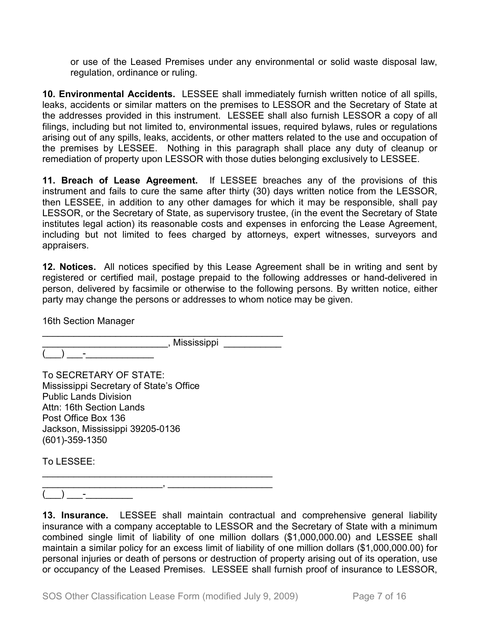or use of the Leased Premises under any environmental or solid waste disposal law, regulation, ordinance or ruling.

**10. Environmental Accidents.** LESSEE shall immediately furnish written notice of all spills, leaks, accidents or similar matters on the premises to LESSOR and the Secretary of State at the addresses provided in this instrument. LESSEE shall also furnish LESSOR a copy of all filings, including but not limited to, environmental issues, required bylaws, rules or regulations arising out of any spills, leaks, accidents, or other matters related to the use and occupation of the premises by LESSEE. Nothing in this paragraph shall place any duty of cleanup or remediation of property upon LESSOR with those duties belonging exclusively to LESSEE.

**11. Breach of Lease Agreement.** If LESSEE breaches any of the provisions of this instrument and fails to cure the same after thirty (30) days written notice from the LESSOR, then LESSEE, in addition to any other damages for which it may be responsible, shall pay LESSOR, or the Secretary of State, as supervisory trustee, (in the event the Secretary of State institutes legal action) its reasonable costs and expenses in enforcing the Lease Agreement, including but not limited to fees charged by attorneys, expert witnesses, surveyors and appraisers.

**12. Notices.** All notices specified by this Lease Agreement shall be in writing and sent by registered or certified mail, postage prepaid to the following addresses or hand-delivered in person, delivered by facsimile or otherwise to the following persons. By written notice, either party may change the persons or addresses to whom notice may be given.

16th Section Manager

 $\qquad \qquad$   $\qquad$   $\qquad$   $\qquad$   $\qquad$   $\qquad$   $\qquad$   $\qquad$   $\qquad$   $\qquad$   $\qquad$   $\qquad$   $\qquad$   $\qquad$   $\qquad$   $\qquad$   $\qquad$   $\qquad$   $\qquad$   $\qquad$   $\qquad$   $\qquad$   $\qquad$   $\qquad$   $\qquad$   $\qquad$   $\qquad$   $\qquad$   $\qquad$   $\qquad$   $\qquad$   $\qquad$   $\qquad$   $\qquad$   $\qquad$   $\qquad$   $\$ 

\_\_\_\_\_\_\_\_\_\_\_\_\_\_\_\_\_\_\_\_\_\_\_\_\_\_\_\_\_\_\_\_\_\_\_\_\_\_\_\_\_\_\_\_\_\_  $\,$ , Mississippi  $\,$ 

To SECRETARY OF STATE: Mississippi Secretary of State's Office Public Lands Division Attn: 16th Section Lands Post Office Box 136 Jackson, Mississippi 39205-0136 (601)-359-1350

To LESSEE:

\_\_\_\_\_\_\_\_\_\_\_\_\_\_\_\_\_\_\_\_\_\_\_\_\_\_\_\_\_\_\_\_\_\_\_\_\_\_\_\_\_\_\_\_ \_\_\_\_\_\_\_\_\_\_\_\_\_\_\_\_\_\_\_\_\_\_\_, \_\_\_\_\_\_\_\_\_\_\_\_\_\_\_\_\_\_\_\_  $)$   $-$ 

**13. Insurance.** LESSEE shall maintain contractual and comprehensive general liability insurance with a company acceptable to LESSOR and the Secretary of State with a minimum combined single limit of liability of one million dollars (\$1,000,000.00) and LESSEE shall maintain a similar policy for an excess limit of liability of one million dollars (\$1,000,000.00) for personal injuries or death of persons or destruction of property arising out of its operation, use or occupancy of the Leased Premises. LESSEE shall furnish proof of insurance to LESSOR,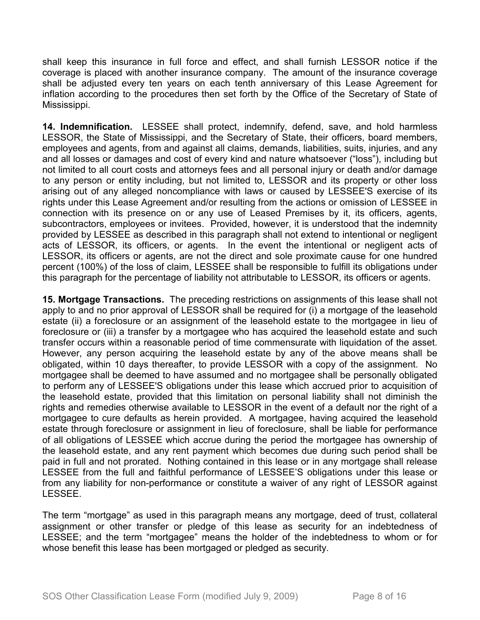shall keep this insurance in full force and effect, and shall furnish LESSOR notice if the coverage is placed with another insurance company. The amount of the insurance coverage shall be adjusted every ten years on each tenth anniversary of this Lease Agreement for inflation according to the procedures then set forth by the Office of the Secretary of State of Mississippi.

**14. Indemnification.** LESSEE shall protect, indemnify, defend, save, and hold harmless LESSOR, the State of Mississippi, and the Secretary of State, their officers, board members, employees and agents, from and against all claims, demands, liabilities, suits, injuries, and any and all losses or damages and cost of every kind and nature whatsoever ("loss"), including but not limited to all court costs and attorneys fees and all personal injury or death and/or damage to any person or entity including, but not limited to, LESSOR and its property or other loss arising out of any alleged noncompliance with laws or caused by LESSEE'S exercise of its rights under this Lease Agreement and/or resulting from the actions or omission of LESSEE in connection with its presence on or any use of Leased Premises by it, its officers, agents, subcontractors, employees or invitees. Provided, however, it is understood that the indemnity provided by LESSEE as described in this paragraph shall not extend to intentional or negligent acts of LESSOR, its officers, or agents. In the event the intentional or negligent acts of LESSOR, its officers or agents, are not the direct and sole proximate cause for one hundred percent (100%) of the loss of claim, LESSEE shall be responsible to fulfill its obligations under this paragraph for the percentage of liability not attributable to LESSOR, its officers or agents.

**15. Mortgage Transactions.** The preceding restrictions on assignments of this lease shall not apply to and no prior approval of LESSOR shall be required for (i) a mortgage of the leasehold estate (ii) a foreclosure or an assignment of the leasehold estate to the mortgagee in lieu of foreclosure or (iii) a transfer by a mortgagee who has acquired the leasehold estate and such transfer occurs within a reasonable period of time commensurate with liquidation of the asset. However, any person acquiring the leasehold estate by any of the above means shall be obligated, within 10 days thereafter, to provide LESSOR with a copy of the assignment. No mortgagee shall be deemed to have assumed and no mortgagee shall be personally obligated to perform any of LESSEE'S obligations under this lease which accrued prior to acquisition of the leasehold estate, provided that this limitation on personal liability shall not diminish the rights and remedies otherwise available to LESSOR in the event of a default nor the right of a mortgagee to cure defaults as herein provided. A mortgagee, having acquired the leasehold estate through foreclosure or assignment in lieu of foreclosure, shall be liable for performance of all obligations of LESSEE which accrue during the period the mortgagee has ownership of the leasehold estate, and any rent payment which becomes due during such period shall be paid in full and not prorated. Nothing contained in this lease or in any mortgage shall release LESSEE from the full and faithful performance of LESSEE'S obligations under this lease or from any liability for non-performance or constitute a waiver of any right of LESSOR against LESSEE.

The term "mortgage" as used in this paragraph means any mortgage, deed of trust, collateral assignment or other transfer or pledge of this lease as security for an indebtedness of LESSEE; and the term "mortgagee" means the holder of the indebtedness to whom or for whose benefit this lease has been mortgaged or pledged as security.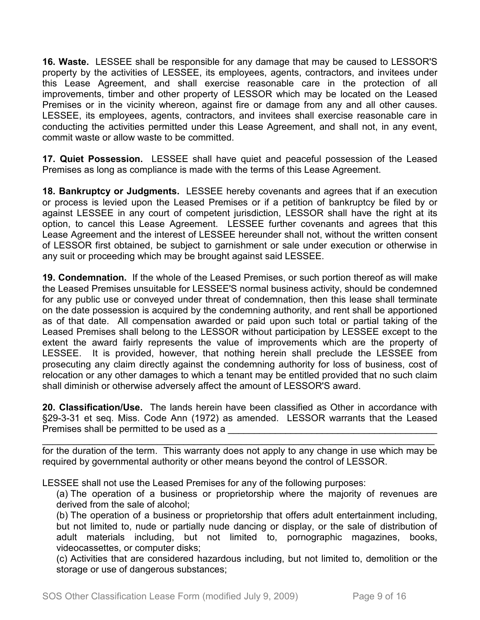**16. Waste.** LESSEE shall be responsible for any damage that may be caused to LESSOR'S property by the activities of LESSEE, its employees, agents, contractors, and invitees under this Lease Agreement, and shall exercise reasonable care in the protection of all improvements, timber and other property of LESSOR which may be located on the Leased Premises or in the vicinity whereon, against fire or damage from any and all other causes. LESSEE, its employees, agents, contractors, and invitees shall exercise reasonable care in conducting the activities permitted under this Lease Agreement, and shall not, in any event, commit waste or allow waste to be committed.

**17. Quiet Possession.** LESSEE shall have quiet and peaceful possession of the Leased Premises as long as compliance is made with the terms of this Lease Agreement.

**18. Bankruptcy or Judgments.** LESSEE hereby covenants and agrees that if an execution or process is levied upon the Leased Premises or if a petition of bankruptcy be filed by or against LESSEE in any court of competent jurisdiction, LESSOR shall have the right at its option, to cancel this Lease Agreement. LESSEE further covenants and agrees that this Lease Agreement and the interest of LESSEE hereunder shall not, without the written consent of LESSOR first obtained, be subject to garnishment or sale under execution or otherwise in any suit or proceeding which may be brought against said LESSEE.

**19. Condemnation.** If the whole of the Leased Premises, or such portion thereof as will make the Leased Premises unsuitable for LESSEE'S normal business activity, should be condemned for any public use or conveyed under threat of condemnation, then this lease shall terminate on the date possession is acquired by the condemning authority, and rent shall be apportioned as of that date. All compensation awarded or paid upon such total or partial taking of the Leased Premises shall belong to the LESSOR without participation by LESSEE except to the extent the award fairly represents the value of improvements which are the property of LESSEE. It is provided, however, that nothing herein shall preclude the LESSEE from prosecuting any claim directly against the condemning authority for loss of business, cost of relocation or any other damages to which a tenant may be entitled provided that no such claim shall diminish or otherwise adversely affect the amount of LESSOR'S award.

**20. Classification/Use.** The lands herein have been classified as Other in accordance with §29-3-31 et seq. Miss. Code Ann (1972) as amended. LESSOR warrants that the Leased Premises shall be permitted to be used as a

\_\_\_\_\_\_\_\_\_\_\_\_\_\_\_\_\_\_\_\_\_\_\_\_\_\_\_\_\_\_\_\_\_\_\_\_\_\_\_\_\_\_\_\_\_\_\_\_\_\_\_\_\_\_\_\_\_\_\_\_\_\_\_\_\_\_\_\_\_\_\_\_\_\_\_ for the duration of the term. This warranty does not apply to any change in use which may be required by governmental authority or other means beyond the control of LESSOR.

LESSEE shall not use the Leased Premises for any of the following purposes:

(a) The operation of a business or proprietorship where the majority of revenues are derived from the sale of alcohol;

(b) The operation of a business or proprietorship that offers adult entertainment including, but not limited to, nude or partially nude dancing or display, or the sale of distribution of adult materials including, but not limited to, pornographic magazines, books, videocassettes, or computer disks;

(c) Activities that are considered hazardous including, but not limited to, demolition or the storage or use of dangerous substances;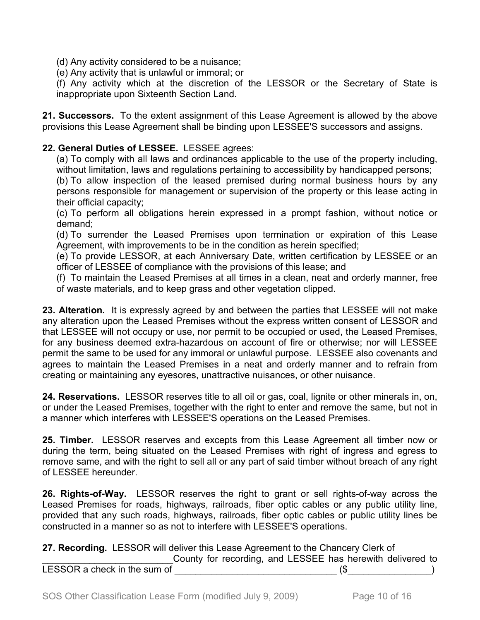(d) Any activity considered to be a nuisance;

(e) Any activity that is unlawful or immoral; or

(f) Any activity which at the discretion of the LESSOR or the Secretary of State is inappropriate upon Sixteenth Section Land.

**21. Successors.** To the extent assignment of this Lease Agreement is allowed by the above provisions this Lease Agreement shall be binding upon LESSEE'S successors and assigns.

### **22. General Duties of LESSEE.** LESSEE agrees:

(a) To comply with all laws and ordinances applicable to the use of the property including, without limitation, laws and regulations pertaining to accessibility by handicapped persons;

(b) To allow inspection of the leased premised during normal business hours by any persons responsible for management or supervision of the property or this lease acting in their official capacity;

(c) To perform all obligations herein expressed in a prompt fashion, without notice or demand;

(d) To surrender the Leased Premises upon termination or expiration of this Lease Agreement, with improvements to be in the condition as herein specified;

(e) To provide LESSOR, at each Anniversary Date, written certification by LESSEE or an officer of LESSEE of compliance with the provisions of this lease; and

(f) To maintain the Leased Premises at all times in a clean, neat and orderly manner, free of waste materials, and to keep grass and other vegetation clipped.

**23. Alteration.** It is expressly agreed by and between the parties that LESSEE will not make any alteration upon the Leased Premises without the express written consent of LESSOR and that LESSEE will not occupy or use, nor permit to be occupied or used, the Leased Premises, for any business deemed extra-hazardous on account of fire or otherwise; nor will LESSEE permit the same to be used for any immoral or unlawful purpose. LESSEE also covenants and agrees to maintain the Leased Premises in a neat and orderly manner and to refrain from creating or maintaining any eyesores, unattractive nuisances, or other nuisance.

**24. Reservations.** LESSOR reserves title to all oil or gas, coal, lignite or other minerals in, on, or under the Leased Premises, together with the right to enter and remove the same, but not in a manner which interferes with LESSEE'S operations on the Leased Premises.

**25. Timber.** LESSOR reserves and excepts from this Lease Agreement all timber now or during the term, being situated on the Leased Premises with right of ingress and egress to remove same, and with the right to sell all or any part of said timber without breach of any right of LESSEE hereunder.

**26. Rights-of-Way.** LESSOR reserves the right to grant or sell rights-of-way across the Leased Premises for roads, highways, railroads, fiber optic cables or any public utility line, provided that any such roads, highways, railroads, fiber optic cables or public utility lines be constructed in a manner so as not to interfere with LESSEE'S operations.

**27. Recording.** LESSOR will deliver this Lease Agreement to the Chancery Clerk of

County for recording, and LESSEE has herewith delivered to LESSOR a check in the sum of \_\_\_\_\_\_\_\_\_\_\_\_\_\_\_\_\_\_\_\_\_\_\_\_\_\_\_\_\_\_\_ (\$\_\_\_\_\_\_\_\_\_\_\_\_\_\_\_\_)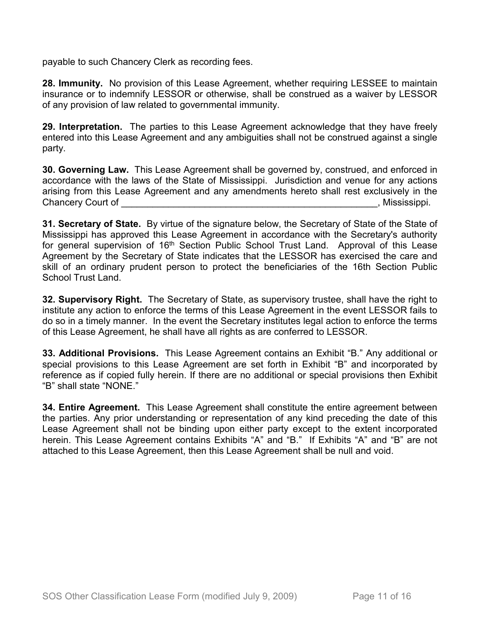payable to such Chancery Clerk as recording fees.

**28. Immunity.** No provision of this Lease Agreement, whether requiring LESSEE to maintain insurance or to indemnify LESSOR or otherwise, shall be construed as a waiver by LESSOR of any provision of law related to governmental immunity.

**29. Interpretation.** The parties to this Lease Agreement acknowledge that they have freely entered into this Lease Agreement and any ambiguities shall not be construed against a single party.

**30. Governing Law.** This Lease Agreement shall be governed by, construed, and enforced in accordance with the laws of the State of Mississippi. Jurisdiction and venue for any actions arising from this Lease Agreement and any amendments hereto shall rest exclusively in the Chancery Court of \_\_\_\_\_\_\_\_\_\_\_\_\_\_\_\_\_\_\_\_\_\_\_\_\_\_\_\_\_\_\_\_\_\_\_\_\_\_\_\_\_\_\_\_\_\_\_\_\_, Mississippi.

**31. Secretary of State.** By virtue of the signature below, the Secretary of State of the State of Mississippi has approved this Lease Agreement in accordance with the Secretary's authority for general supervision of 16<sup>th</sup> Section Public School Trust Land. Approval of this Lease Agreement by the Secretary of State indicates that the LESSOR has exercised the care and skill of an ordinary prudent person to protect the beneficiaries of the 16th Section Public School Trust Land.

**32. Supervisory Right.** The Secretary of State, as supervisory trustee, shall have the right to institute any action to enforce the terms of this Lease Agreement in the event LESSOR fails to do so in a timely manner. In the event the Secretary institutes legal action to enforce the terms of this Lease Agreement, he shall have all rights as are conferred to LESSOR.

**33. Additional Provisions.** This Lease Agreement contains an Exhibit "B." Any additional or special provisions to this Lease Agreement are set forth in Exhibit "B" and incorporated by reference as if copied fully herein. If there are no additional or special provisions then Exhibit "B" shall state "NONE."

**34. Entire Agreement.** This Lease Agreement shall constitute the entire agreement between the parties. Any prior understanding or representation of any kind preceding the date of this Lease Agreement shall not be binding upon either party except to the extent incorporated herein. This Lease Agreement contains Exhibits "A" and "B." If Exhibits "A" and "B" are not attached to this Lease Agreement, then this Lease Agreement shall be null and void.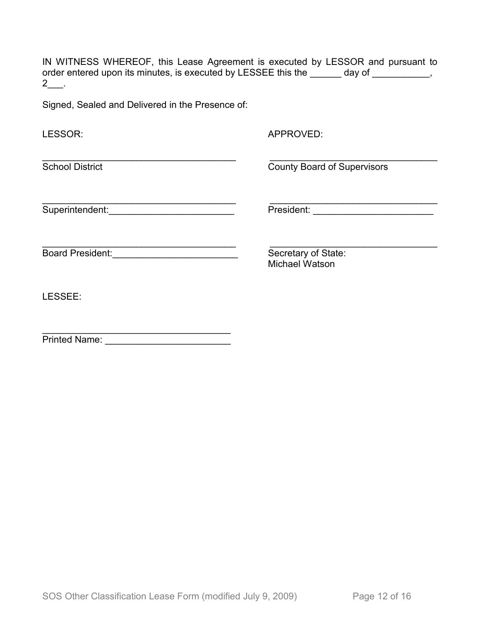IN WITNESS WHEREOF, this Lease Agreement is executed by LESSOR and pursuant to order entered upon its minutes, is executed by LESSEE this the \_\_\_\_\_\_ day of \_\_\_\_\_\_\_\_\_,  $2$ \_\_.

Signed, Sealed and Delivered in the Presence of:

| LESSOR:                 | APPROVED:                                    |
|-------------------------|----------------------------------------------|
| <b>School District</b>  | <b>County Board of Supervisors</b>           |
| Superintendent:         | President:                                   |
| <b>Board President:</b> | Secretary of State:<br><b>Michael Watson</b> |
| LESSEE:                 |                                              |
| <b>Printed Name:</b>    |                                              |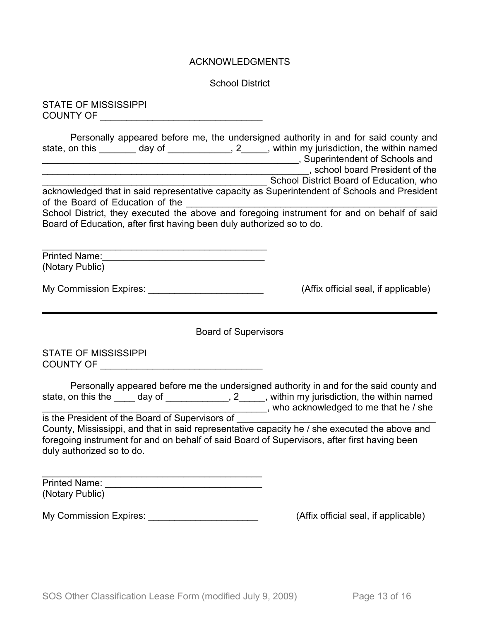#### ACKNOWLEDGMENTS

School District

STATE OF MISSISSIPPI COUNTY OF \_\_\_\_\_\_\_\_\_\_\_\_\_\_\_\_\_\_\_\_\_\_\_\_\_\_\_\_\_\_\_

| Personally appeared before me, the undersigned authority in and for said county and<br>state, on this ________ day of ____________, 2_____, within my jurisdiction, the within named      |                                         |  |  |
|-------------------------------------------------------------------------------------------------------------------------------------------------------------------------------------------|-----------------------------------------|--|--|
|                                                                                                                                                                                           | School District Board of Education, who |  |  |
| acknowledged that in said representative capacity as Superintendent of Schools and President                                                                                              |                                         |  |  |
| School District, they executed the above and foregoing instrument for and on behalf of said<br>Board of Education, after first having been duly authorized so to do.                      |                                         |  |  |
| (Notary Public)                                                                                                                                                                           |                                         |  |  |
| My Commission Expires: _______________________                                                                                                                                            | (Affix official seal, if applicable)    |  |  |
| <b>Board of Supervisors</b>                                                                                                                                                               |                                         |  |  |
| <b>STATE OF MISSISSIPPI</b><br>COUNTY OF THE RESIDENCE OF THE RESIDENCE OF THE RESIDENCE OF THE RESIDENCE OF THE RESIDENCE OF THE RESIDENCE O                                             |                                         |  |  |
| Personally appeared before me the undersigned authority in and for the said county and<br>state, on this the _____ day of _____________, 2_____, within my jurisdiction, the within named |                                         |  |  |

\_\_\_\_\_\_\_\_\_\_\_\_\_\_\_\_\_\_\_\_\_\_\_\_\_\_\_\_\_\_\_\_\_\_\_\_\_\_\_\_\_\_\_, who acknowledged to me that he / she is the President of the Board of Supervisors of County, Mississippi, and that in said representative capacity he / she executed the above and

foregoing instrument for and on behalf of said Board of Supervisors, after first having been duly authorized so to do.

 $\overline{\phantom{a}}$ Printed Name: \_\_\_\_\_\_\_\_\_\_\_\_\_\_\_\_\_\_\_\_\_\_\_\_\_\_\_\_\_\_ (Notary Public)

My Commission Expires: \_\_\_\_\_\_\_\_\_\_\_\_\_\_\_\_\_\_\_\_\_\_\_\_\_\_\_\_\_\_\_\_(Affix official seal, if applicable)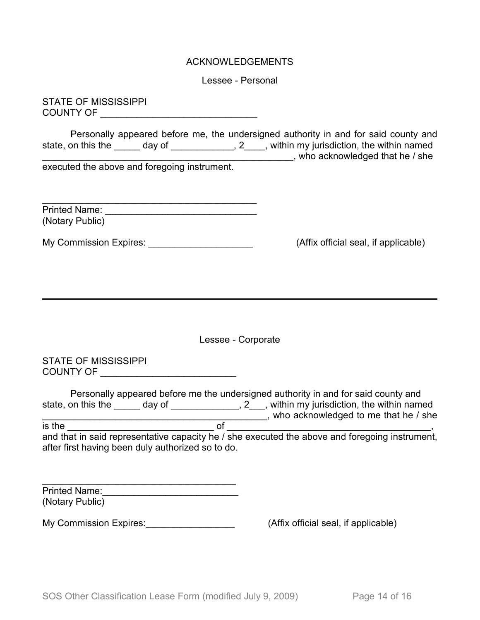#### ACKNOWLEDGEMENTS

Lessee - Personal

STATE OF MISSISSIPPI COUNTY OF \_\_\_\_\_\_\_\_\_\_\_\_\_\_\_\_\_\_\_\_\_\_\_\_\_\_\_\_\_\_

Personally appeared before me, the undersigned authority in and for said county and state, on this the \_\_\_\_\_ day of \_\_\_\_\_\_\_\_\_\_\_\_, 2\_\_\_\_, within my jurisdiction, the within named state, on this the \_\_\_\_\_\_ day of \_\_\_\_\_\_\_\_\_\_\_\_\_, 2\_\_\_\_, within my jurisdiction, the within named \_\_\_\_\_\_\_\_\_\_\_\_\_\_\_\_\_\_\_\_\_\_\_\_\_\_\_\_\_\_\_\_\_\_\_\_\_\_\_\_\_\_\_\_\_\_\_\_, who acknowledged that he / she executed the above and foregoing instrument.

| <b>Printed Name:</b> |  |
|----------------------|--|
| (Notary Public)      |  |

My Commission Expires: <u>\_\_\_\_\_\_\_\_\_\_\_\_\_\_\_\_\_\_\_\_\_\_\_\_\_\_\_\_\_\_</u> (Affix official seal, if applicable)

Lessee - Corporate

STATE OF MISSISSIPPI COUNTY OF \_\_\_\_\_\_\_\_\_\_\_\_\_\_\_\_\_\_\_\_\_\_\_\_\_\_

|                                                   |        |    | Personally appeared before me the undersigned authority in and for said county and             |
|---------------------------------------------------|--------|----|------------------------------------------------------------------------------------------------|
| state, on this the                                | day of |    | , 2, within my jurisdiction, the within named                                                  |
|                                                   |        |    | who acknowledged to me that he / she                                                           |
| is the                                            |        | റ് |                                                                                                |
|                                                   |        |    | and that in said representative capacity he / she executed the above and foregoing instrument, |
| after first having been duly authorized so to do. |        |    |                                                                                                |

| <b>Printed Name:</b> |  |
|----------------------|--|
| (Notary Public)      |  |

My Commission Expires: My Commission Expires:  $(Affix)$  official seal, if applicable)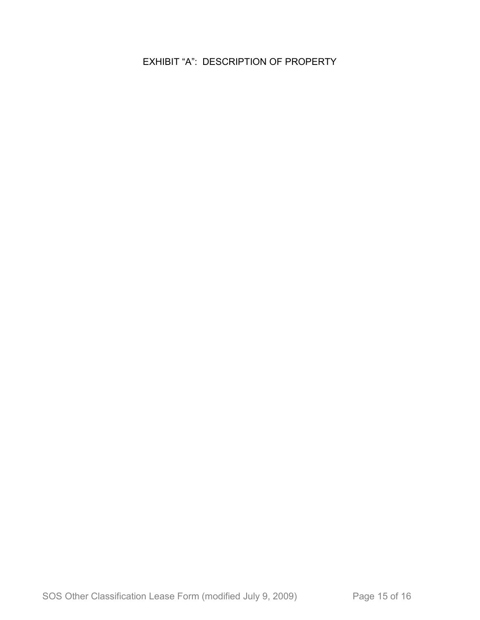EXHIBIT "A": DESCRIPTION OF PROPERTY